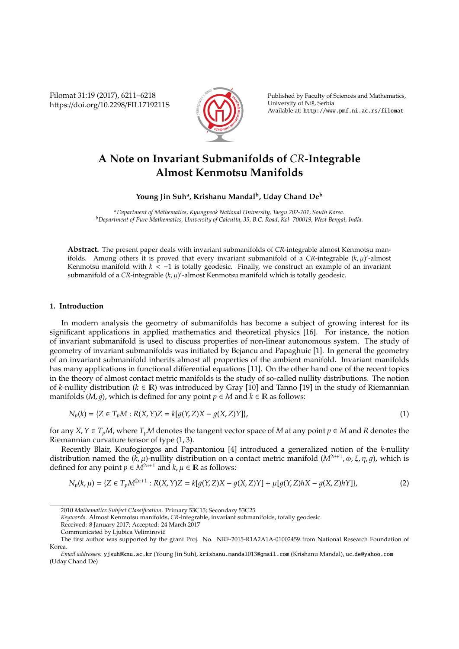Filomat 31:19 (2017), 6211–6218 https://doi.org/10.2298/FIL1719211S



Published by Faculty of Sciences and Mathematics, University of Niš, Serbia Available at: http://www.pmf.ni.ac.rs/filomat

# **A Note on Invariant Submanifolds of** *CR***-Integrable Almost Kenmotsu Manifolds**

**Young Jin Suh<sup>a</sup> , Krishanu Mandal<sup>b</sup> , Uday Chand De<sup>b</sup>**

*<sup>a</sup>Department of Mathematics, Kyungpook National University, Taegu 702-701, South Korea. <sup>b</sup>Department of Pure Mathematics, University of Calcutta, 35, B.C. Road, Kol- 700019, West Bengal, India.*

**Abstract.** The present paper deals with invariant submanifolds of *CR*-integrable almost Kenmotsu manifolds. Among others it is proved that every invariant submanifold of a CR-integrable  $(k, \mu)$ '-almost Kenmotsu manifold with *k* < −1 is totally geodesic. Finally, we construct an example of an invariant submanifold of a CR-integrable (k,  $\mu$ )'-almost Kenmotsu manifold which is totally geodesic.

#### **1. Introduction**

In modern analysis the geometry of submanifolds has become a subject of growing interest for its significant applications in applied mathematics and theoretical physics [16]. For instance, the notion of invariant submanifold is used to discuss properties of non-linear autonomous system. The study of geometry of invariant submanifolds was initiated by Bejancu and Papaghuic [1]. In general the geometry of an invariant submanifold inherits almost all properties of the ambient manifold. Invariant manifolds has many applications in functional differential equations [11]. On the other hand one of the recent topics in the theory of almost contact metric manifolds is the study of so-called nullity distributions. The notion of *k*-nullity distribution (*k* ∈ R) was introduced by Gray [10] and Tanno [19] in the study of Riemannian manifolds (*M*, *q*), which is defined for any point  $p \in M$  and  $k \in \mathbb{R}$  as follows:

$$
N_p(k) = \{ Z \in T_p M : R(X, Y)Z = k[g(Y, Z)X - g(X, Z)Y] \},
$$
\n(1)

for any *X*,  $Y \in T_pM$ , where  $T_pM$  denotes the tangent vector space of *M* at any point  $p \in M$  and *R* denotes the Riemannian curvature tensor of type (1, 3).

Recently Blair, Koufogiorgos and Papantoniou [4] introduced a generalized notion of the *k*-nullity distribution named the  $(k, \mu)$ -nullity distribution on a contact metric manifold  $(M^{2n+1}, \phi, \xi, \eta, g)$ , which is defined for any point  $p \in M^{2n+1}$  and  $k, \mu \in \mathbb{R}$  as follows:

$$
N_p(k,\mu) = \{ Z \in T_p M^{2n+1} : R(X,Y)Z = k[g(Y,Z)X - g(X,Z)Y] + \mu[g(Y,Z)hX - g(X,Z)hY] \},
$$
\n(2)

<sup>2010</sup> *Mathematics Subject Classification*. Primary 53C15; Secondary 53C25

*Keywords*. Almost Kenmotsu manifolds, *CR*-integrable, invariant submanifolds, totally geodesic.

Received: 8 January 2017; Accepted: 24 March 2017

Communicated by Ljubica Velimirovic´

The first author was supported by the grant Proj. No. NRF-2015-R1A2A1A-01002459 from National Research Foundation of Korea.

*Email addresses:* yjsuh@knu.ac.kr (Young Jin Suh), krishanu.mandal013@gmail.com (Krishanu Mandal), uc de@yahoo.com (Uday Chand De)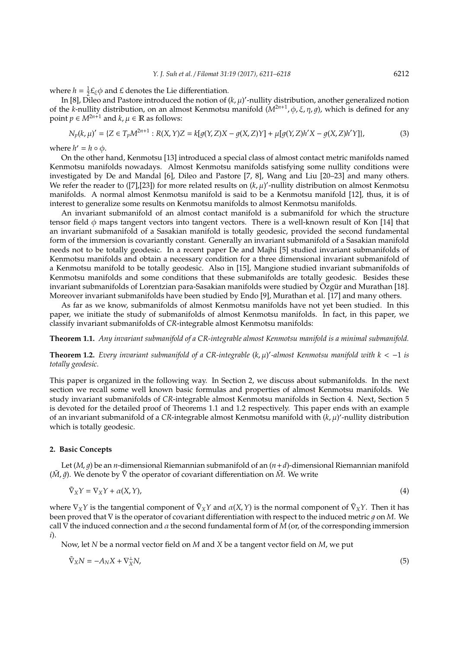where  $h = \frac{1}{2} \mathcal{L}_{\xi} \phi$  and  $\mathcal{L}$  denotes the Lie differentiation.

In [8], Dileo and Pastore introduced the notion of  $(k, \mu)'$ -nullity distribution, another generalized notion  $\ln$  [8], Dileo and Pastore introduced the notion of  $(k, \mu)'$ -nullity distribution, another generalized notion of the *k*-nullity distribution, on an almost Kenmotsu manifold (*M*2*n*+<sup>1</sup> , φ, ξ, η, 1), which is defined for any point  $p \in M^{2n+1}$  and  $k, \mu \in \mathbb{R}$  as follows:

$$
N_p(k,\mu)' = \{ Z \in T_p M^{2n+1} : R(X,Y)Z = k[g(Y,Z)X - g(X,Z)Y] + \mu[g(Y,Z)h'X - g(X,Z)h'Y] \},
$$
\n(3)

where  $h' = h \circ \phi$ .

On the other hand, Kenmotsu [13] introduced a special class of almost contact metric manifolds named Kenmotsu manifolds nowadays. Almost Kenmotsu manifolds satisfying some nullity conditions were investigated by De and Mandal [6], Dileo and Pastore [7, 8], Wang and Liu [20–23] and many others. We refer the reader to ([7], [23]) for more related results on  $(k, \mu)'$ -nullity distribution on almost Kenmotsu manifolds. A normal almost Kenmotsu manifold is said to be a Kenmotsu manifold [12], thus, it is of interest to generalize some results on Kenmotsu manifolds to almost Kenmotsu manifolds.

An invariant submanifold of an almost contact manifold is a submanifold for which the structure tensor field  $\phi$  maps tangent vectors into tangent vectors. There is a well-known result of Kon [14] that an invariant submanifold of a Sasakian manifold is totally geodesic, provided the second fundamental form of the immersion is covariantly constant. Generally an invariant submanifold of a Sasakian manifold needs not to be totally geodesic. In a recent paper De and Majhi [5] studied invariant submanifolds of Kenmotsu manifolds and obtain a necessary condition for a three dimensional invariant submanifold of a Kenmotsu manifold to be totally geodesic. Also in [15], Mangione studied invariant submanifolds of Kenmotsu manifolds and some conditions that these submanifolds are totally geodesic. Besides these invariant submanifolds of Lorentzian para-Sasakian manifolds were studied by Özgür and Murathan [18]. Moreover invariant submanifolds have been studied by Endo [9], Murathan et al. [17] and many others.

As far as we know, submanifolds of almost Kenmotsu manifolds have not yet been studied. In this paper, we initiate the study of submanifolds of almost Kenmotsu manifolds. In fact, in this paper, we classify invariant submanifolds of *CR*-integrable almost Kenmotsu manifolds:

**Theorem 1.1.** *Any invariant submanifold of a CR-integrable almost Kenmotsu manifold is a minimal submanifold.*

**Theorem 1.2.** *Every invariant submanifold of a CR-integrable* (*k*, µ) 0 *-almost Kenmotsu manifold with k* < −1 *is totally geodesic.*

This paper is organized in the following way. In Section 2, we discuss about submanifolds. In the next section we recall some well known basic formulas and properties of almost Kenmotsu manifolds. We study invariant submanifolds of *CR*-integrable almost Kenmotsu manifolds in Section 4. Next, Section 5 is devoted for the detailed proof of Theorems 1.1 and 1.2 respectively. This paper ends with an example of an invariant submanifold of a CR-integrable almost Kenmotsu manifold with (k, µ)'-nullity distribution which is totally geodesic.

### **2. Basic Concepts**

Let  $(M, g)$  be an *n*-dimensional Riemannian submanifold of an  $(n + d)$ -dimensional Riemannian manifold (*M*<sup>∂</sup>,  $\tilde{q}$ ). We denote by  $\tilde{V}$  the operator of covariant differentiation on *M*. We write

$$
\tilde{\nabla}_X Y = \nabla_X Y + \alpha(X, Y),\tag{4}
$$

where  $\nabla_X Y$  is the tangential component of  $\tilde{\nabla}_X Y$  and  $\alpha(X, Y)$  is the normal component of  $\tilde{\nabla}_X Y$ . Then it has been proved that  $∇$  is the operator of covariant differentiation with respect to the induced metric q on *M*. We call  $\nabla$  the induced connection and  $\alpha$  the second fundamental form of *M* (or, of the corresponding immersion *i*).

Now, let *N* be a normal vector field on *M* and *X* be a tangent vector field on *M*, we put

$$
\tilde{\nabla}_X N = -A_N X + \nabla_X^{\perp} N,\tag{5}
$$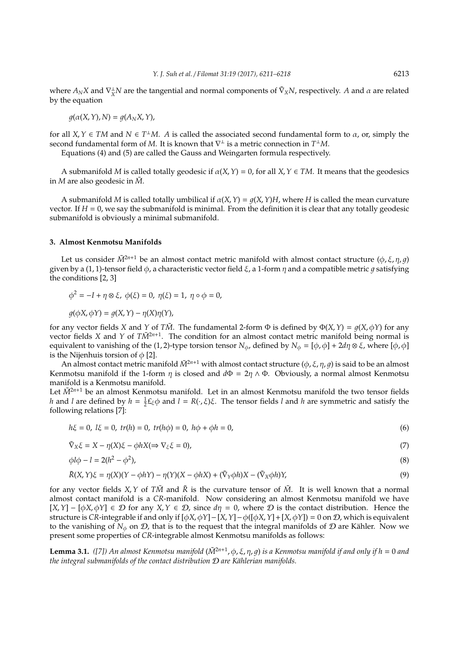where  $A_N X$  and  $\nabla_X^{\perp} N$  are the tangential and normal components of  $\tilde{\nabla}_X N$ , respectively. *A* and  $\alpha$  are related by the equation

$$
g(\alpha(X, Y), N) = g(A_N X, Y),
$$

for all  $X, Y \in TM$  and  $N \in T^{\perp}M$ . *A* is called the associated second fundamental form to  $\alpha$ , or, simply the second fundamental form of *M*. It is known that  $\nabla^{\perp}$  is a metric connection in  $T^{\perp}M$ .

Equations (4) and (5) are called the Gauss and Weingarten formula respectively.

A submanifold *M* is called totally geodesic if  $\alpha(X, Y) = 0$ , for all  $X, Y \in TM$ . It means that the geodesics in  $M$  are also geodesic in  $\tilde{M}$ .

A submanifold *M* is called totally umbilical if  $\alpha(X, Y) = q(X, Y)H$ , where *H* is called the mean curvature vector. If  $H = 0$ , we say the submanifold is minimal. From the definition it is clear that any totally geodesic submanifold is obviously a minimal submanifold.

#### **3. Almost Kenmotsu Manifolds**

Let us consider  $\tilde{M}^{2n+1}$  be an almost contact metric manifold with almost contact structure  $(\phi, \xi, \eta, q)$ given by a (1, 1)-tensor field  $\phi$ , a characteristic vector field  $\xi$ , a 1-form  $\eta$  and a compatible metric q satisfying the conditions [2, 3]

$$
\phi^2 = -I + \eta \otimes \xi, \ \phi(\xi) = 0, \ \eta(\xi) = 1, \ \eta \circ \phi = 0,
$$

 $q(\phi X, \phi Y) = q(X, Y) - \eta(X)\eta(Y),$ 

for any vector fields *X* and *Y* of *TM*. The fundamental 2-form  $\Phi$  is defined by  $\Phi(X, Y) = g(X, \phi Y)$  for any vector fields *X* and *Y* of  $T\widetilde{M}^{2n+1}$ . The condition for an almost contact metric manifold being normal is equivalent to vanishing of the (1, 2)-type torsion tensor  $N_{\phi}$ , defined by  $N_{\phi} = [\phi, \phi] + 2d\eta \otimes \xi$ , where  $[\phi, \phi]$ is the Nijenhuis torsion of  $\phi$  [2].

An almost contact metric manifold  $\tilde{M}^{2n+1}$  with almost contact structure ( $\phi$ ,  $\xi$ ,  $\eta$ ,  $g$ ) is said to be an almost Kenmotsu manifold if the 1-form  $\eta$  is closed and  $d\Phi = 2\eta \wedge \Phi$ . Obviously, a normal almost Kenmotsu manifold is a Kenmotsu manifold.

Let  $\tilde{M}^{2n+1}$  be an almost Kenmotsu manifold. Let in an almost Kenmotsu manifold the two tensor fields *h* and *l* are defined by  $h = \frac{1}{2}E_{\xi}\phi$  and  $l = R(\cdot, \xi)\xi$ . The tensor fields *l* and *h* are symmetric and satisfy the following relations [7]:

$$
h\xi = 0, l\xi = 0, tr(h) = 0, tr(h\phi) = 0, h\phi + \phi h = 0,
$$
\n(6)

$$
\tilde{\nabla}_X \xi = X - \eta(X)\xi - \phi h X (\Rightarrow \nabla_{\xi} \xi = 0),\tag{7}
$$

$$
\phi l \phi - l = 2(h^2 - \phi^2),\tag{8}
$$

$$
\tilde{R}(X,Y)\xi = \eta(X)(Y - \phi hY) - \eta(Y)(X - \phi hX) + (\tilde{\nabla}_Y \phi h)X - (\tilde{\nabla}_X \phi h)Y,\tag{9}
$$

for any vector fields  $X, Y$  of  $T\tilde{M}$  and  $\tilde{R}$  is the curvature tensor of  $\tilde{M}$ . It is well known that a normal almost contact manifold is a *CR*-manifold. Now considering an almost Kenmotsu manifold we have  $[X, Y] - [\phi X, \phi Y] \in \mathcal{D}$  for any  $X, Y \in \mathcal{D}$ , since  $d\eta = 0$ , where  $\mathcal{D}$  is the contact distribution. Hence the structure is *CR*-integrable if and only if  $[\phi X, \phi Y] - [X, Y] - \phi([\phi X, Y] + [X, \phi Y]) = 0$  on *D*, which is equivalent to the vanishing of  $N_{\phi}$  on  $\mathcal{D}$ , that is to the request that the integral manifolds of  $\mathcal D$  are Kähler. Now we present some properties of *CR*-integrable almost Kenmotsu manifolds as follows:

**Lemma 3.1.** ([7]) An almost Kenmotsu manifold ( $\tilde{M}^{2n+1}$ ,  $\phi$ ,  $\xi$ ,  $\eta$ ,  $g$ ) is a Kenmotsu manifold if and only if  $h = 0$  and *the integral submanifolds of the contact distribution*  $D$  *are Kählerian manifolds.*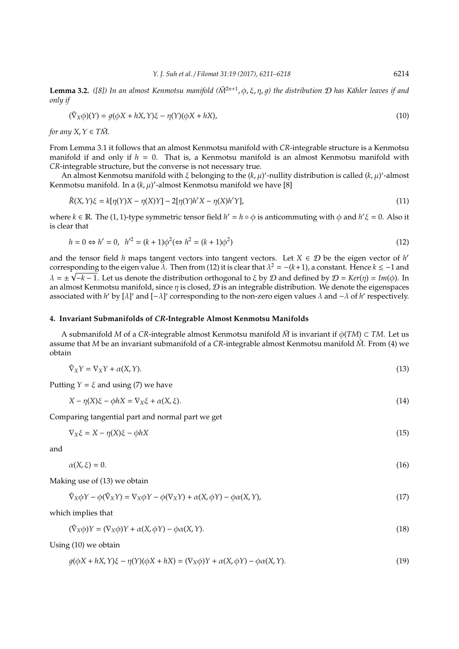**Lemma 3.2.** ([8]) In an almost Kenmotsu manifold ( $\tilde{M}^{2n+1}$ , φ, ξ, η, g) the distribution *D* has Kähler leaves if and *only if*

$$
(\tilde{\nabla}_X \phi)(Y) = g(\phi X + hX, Y)\xi - \eta(Y)(\phi X + hX),\tag{10}
$$

*for any X*,  $Y \in T\tilde{M}$ .

From Lemma 3.1 it follows that an almost Kenmotsu manifold with *CR*-integrable structure is a Kenmotsu manifold if and only if *h* = 0. That is, a Kenmotsu manifold is an almost Kenmotsu manifold with *CR*-integrable structure, but the converse is not necessary true.

An almost Kenmotsu manifold with  $\xi$  belonging to the  $(k, \mu)'$ -nullity distribution is called  $(k, \mu)'$ -almost Kenmotsu manifold. In a  $(k, \mu)$ '-almost Kenmotsu manifold we have [8]

$$
\tilde{R}(X,Y)\xi = k[\eta(Y)X - \eta(X)Y] - 2[\eta(Y)h'X - \eta(X)h'Y],
$$
\n(11)

where  $k \in \mathbb{R}$ . The (1, 1)-type symmetric tensor field  $h' = h \circ \phi$  is anticommuting with  $\phi$  and  $h' \xi = 0$ . Also it is clear that

$$
h = 0 \Leftrightarrow h' = 0, \ \ h'^2 = (k+1)\phi^2 (\Leftrightarrow h^2 = (k+1)\phi^2)
$$
\n(12)

and the tensor field *h* maps tangent vectors into tangent vectors. Let  $X \in \mathcal{D}$  be the eigen vector of *h*' corresponding to the eigen value  $\lambda$ . Then from (12) it is clear that  $\lambda^2 = -(k+1)$ , a constant. Hence  $k \le -1$  and  $\lambda = \pm \sqrt{-k-1}$ . Let us denote the distribution orthogonal to  $\xi$  by  $D$  and defined by  $D = Ker(\eta) = Im(\phi)$ . In an almost Kenmotsu manifold, since  $\eta$  is closed,  $\mathcal D$  is an integrable distribution. We denote the eigenspaces associated with *h'* by [ $\lambda$ ]' and [− $\lambda$ ]' corresponding to the non-zero eigen values  $\lambda$  and  $-\lambda$  of *h'* respectively.

#### **4. Invariant Submanifolds of** *CR***-Integrable Almost Kenmotsu Manifolds**

A submanifold *M* of a *CR*-integrable almost Kenmotsu manifold  $\tilde{M}$  is invariant if  $\phi(TM) \subset TM$ . Let us assume that *M* be an invariant submanifold of a *CR*-integrable almost Kenmotsu manifold *M*˜ . From (4) we obtain

$$
\tilde{\nabla}_X Y = \nabla_X Y + \alpha(X, Y). \tag{13}
$$

Putting  $Y = \xi$  and using (7) we have

$$
X - \eta(X)\xi - \phi hX = \nabla_X \xi + \alpha(X, \xi). \tag{14}
$$

Comparing tangential part and normal part we get

 $\nabla_X \xi = X - \eta(X)\xi - \phi hX$  (15)

and

$$
\alpha(X,\xi) = 0.\tag{16}
$$

Making use of (13) we obtain

$$
\tilde{\nabla}_X \phi Y - \phi(\tilde{\nabla}_X Y) = \nabla_X \phi Y - \phi(\nabla_X Y) + \alpha(X, \phi Y) - \phi \alpha(X, Y), \tag{17}
$$

which implies that

$$
(\tilde{\nabla}_X \phi)Y = (\nabla_X \phi)Y + \alpha(X, \phi Y) - \phi \alpha(X, Y). \tag{18}
$$

Using (10) we obtain

$$
g(\phi X + hX, Y)\xi - \eta(Y)(\phi X + hX) = (\nabla_X \phi)Y + \alpha(X, \phi Y) - \phi \alpha(X, Y). \tag{19}
$$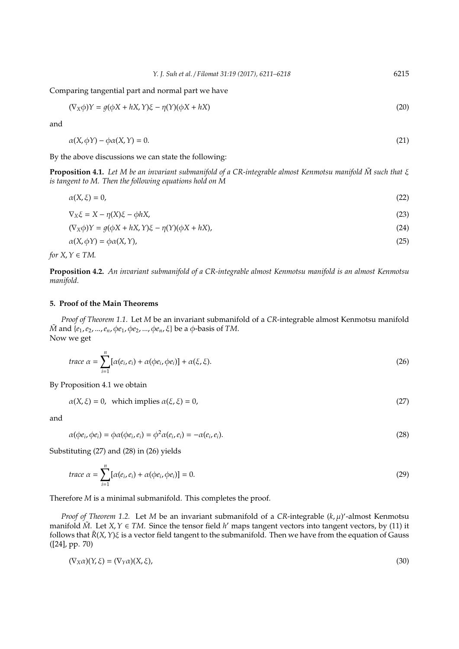Comparing tangential part and normal part we have

$$
(\nabla_X \phi)Y = g(\phi X + hX, Y)\xi - \eta(Y)(\phi X + hX)
$$
\n(20)

and

$$
\alpha(X, \phi Y) - \phi \alpha(X, Y) = 0. \tag{21}
$$

By the above discussions we can state the following:

**Proposition 4.1.** *Let M be an invariant submanifold of a CR-integrable almost Kenmotsu manifold M* such that ξ *is tangent to M. Then the following equations hold on M*

 $\alpha(X,\xi) = 0,$  (22)

$$
\nabla_X \xi = X - \eta(X)\xi - \phi hX,\tag{23}
$$

$$
(\nabla_X \phi)Y = g(\phi X + hX, Y)\xi - \eta(Y)(\phi X + hX),\tag{24}
$$

$$
\alpha(X, \phi Y) = \phi \alpha(X, Y), \tag{25}
$$

*for*  $X, Y \in TM$ .

**Proposition 4.2.** *An invariant submanifold of a CR-integrable almost Kenmotsu manifold is an almost Kenmotsu manifold.*

## **5. Proof of the Main Theorems**

*Proof of Theorem 1.1.* Let *M* be an invariant submanifold of a *CR*-integrable almost Kenmotsu manifold *M*<sup>a</sup> and {*e*<sub>1</sub>, *e*<sub>2</sub>, ..., *e*<sub>*n*</sub>, φ*e*<sub>1</sub>, φ*e*<sub>2</sub>, ..., φ*e*<sub>*n*</sub>, ξ} be a φ-basis of *TM*. Now we get

trace 
$$
\alpha = \sum_{i=1}^{n} [\alpha(e_i, e_i) + \alpha(\phi e_i, \phi e_i)] + \alpha(\xi, \xi).
$$
 (26)

By Proposition 4.1 we obtain

$$
\alpha(X,\xi) = 0, \text{ which implies } \alpha(\xi,\xi) = 0,
$$
\n
$$
(27)
$$

and

 $\alpha(\phi e_i, \phi e_i) = \phi \alpha(\phi e_i, e_i) = \phi^2 \alpha(e_i, e_i) = -\alpha(e_i)$  $,e_i$ ). (28)

Substituting (27) and (28) in (26) yields

trace 
$$
\alpha = \sum_{i=1}^{n} [\alpha(e_i, e_i) + \alpha(\phi e_i, \phi e_i)] = 0.
$$
 (29)

Therefore *M* is a minimal submanifold. This completes the proof.

*Proof of Theorem 1.2.* Let *M* be an invariant submanifold of a CR-integrable ( $k$ ,  $\mu$ )'-almost Kenmotsu manifold  $\tilde{M}$ . Let *X*, *Y*  $\in TM$ . Since the tensor field *h*' maps tangent vectors into tangent vectors, by (11) it follows that *R*˜ (*X*,*Y*)ξ is a vector field tangent to the submanifold. Then we have from the equation of Gauss ([24], pp. 70)

$$
(\nabla_X \alpha)(Y, \xi) = (\nabla_Y \alpha)(X, \xi), \tag{30}
$$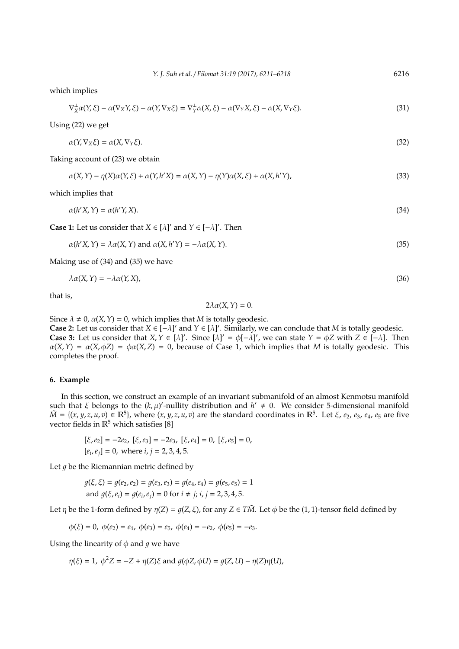which implies

$$
\nabla_X^{\perp} \alpha(Y, \xi) - \alpha(\nabla_X Y, \xi) - \alpha(Y, \nabla_X \xi) = \nabla_Y^{\perp} \alpha(X, \xi) - \alpha(\nabla_Y X, \xi) - \alpha(X, \nabla_Y \xi). \tag{31}
$$

Using (22) we get

$$
\alpha(Y, \nabla_X \xi) = \alpha(X, \nabla_Y \xi). \tag{32}
$$

Taking account of (23) we obtain

$$
\alpha(X,Y) - \eta(X)\alpha(Y,\xi) + \alpha(Y,h'X) = \alpha(X,Y) - \eta(Y)\alpha(X,\xi) + \alpha(X,h'Y),\tag{33}
$$

which implies that

$$
\alpha(h'X,Y) = \alpha(h'Y,X). \tag{34}
$$

**Case 1:** Let us consider that  $X \in [\lambda]'$  and  $Y \in [-\lambda]'$ . Then

 $\alpha(h'X, Y) = \lambda \alpha(X, Y)$  and  $\alpha(X, h'Y) = -\lambda \alpha(X, Y).$  (35)

Making use of (34) and (35) we have

$$
\lambda \alpha(X, Y) = -\lambda \alpha(Y, X), \tag{36}
$$

that is,

$$
2\lambda \alpha(X,Y)=0.
$$

Since  $\lambda \neq 0$ ,  $\alpha(X, Y) = 0$ , which implies that *M* is totally geodesic.

**Case 2:** Let us consider that  $X \in [-\lambda]'$  and  $Y \in [\lambda]'$ . Similarly, we can conclude that *M* is totally geodesic. **Case 3:** Let us consider that  $X, Y \in [\lambda]'$ . Since  $[\lambda]' = \phi[-\lambda]'$ , we can state  $Y = \phi Z$  with  $Z \in [-\lambda]$ . Then  $\alpha(X, Y) = \alpha(X, \phi Z) = \phi \alpha(X, Z) = 0$ , because of Case 1, which implies that *M* is totally geodesic. This completes the proof.

#### **6. Example**

In this section, we construct an example of an invariant submanifold of an almost Kenmotsu manifold such that  $\xi$  belongs to the  $(k, \mu)'$ -nullity distribution and  $h' \neq 0$ . We consider 5-dimensional manifold  $\tilde{M} = \{(x, y, z, u, v) \in \mathbb{R}^5\}$ , where  $(x, y, z, u, v)$  are the standard coordinates in  $\mathbb{R}^5$ . Let  $\xi$ , *e*<sub>2</sub>, *e*<sub>3</sub>, *e*<sub>4</sub>, *e*<sub>5</sub> are five vector fields in  $\mathbb{R}^5$  which satisfies [8]

 $[\xi, e_2] = -2e_2$ ,  $[\xi, e_3] = -2e_3$ ,  $[\xi, e_4] = 0$ ,  $[\xi, e_5] = 0$ ,  $[e_i, e_j] = 0$ , where  $i, j = 2, 3, 4, 5$ .

Let  $q$  be the Riemannian metric defined by

$$
g(\xi, \xi) = g(e_2, e_2) = g(e_3, e_3) = g(e_4, e_4) = g(e_5, e_5) = 1
$$
  
and 
$$
g(\xi, e_i) = g(e_i, e_j) = 0 \text{ for } i \neq j; i, j = 2, 3, 4, 5.
$$

Let  $\eta$  be the 1-form defined by  $\eta(Z) = g(Z, \xi)$ , for any  $Z \in T\tilde{M}$ . Let  $\phi$  be the (1, 1)-tensor field defined by

$$
\phi(\xi) = 0, \ \phi(e_2) = e_4, \ \phi(e_3) = e_5, \ \phi(e_4) = -e_2, \ \phi(e_5) = -e_3.
$$

Using the linearity of  $\phi$  and  $q$  we have

$$
\eta(\xi) = 1, \ \phi^2 Z = -Z + \eta(Z)\xi \text{ and } g(\phi Z, \phi U) = g(Z, U) - \eta(Z)\eta(U),
$$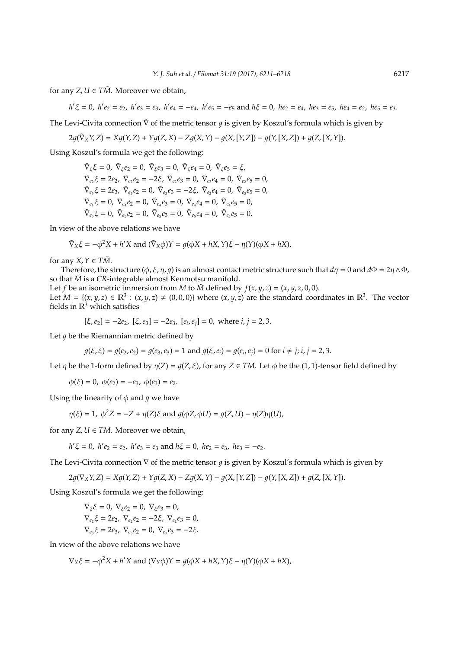for any  $Z, U \in T\tilde{M}$ . Moreover we obtain,

$$
h'\xi = 0
$$
,  $h'e_2 = e_2$ ,  $h'e_3 = e_3$ ,  $h'e_4 = -e_4$ ,  $h'e_5 = -e_5$  and  $h\xi = 0$ ,  $he_2 = e_4$ ,  $he_3 = e_5$ ,  $he_4 = e_2$ ,  $he_5 = e_3$ .

The Levi-Civita connection  $\tilde{V}$  of the metric tensor q is given by Koszul's formula which is given by

$$
2g(\tilde{\nabla}_XY,Z)=Xg(Y,Z)+Yg(Z,X)-Zg(X,Y)-g(X,[Y,Z])-g(Y,[X,Z])+g(Z,[X,Y]).
$$

Using Koszul's formula we get the following:

 $\tilde{\nabla}_{\xi}\xi = 0$ ,  $\tilde{\nabla}_{\xi}e_2 = 0$ ,  $\tilde{\nabla}_{\xi}e_3 = 0$ ,  $\tilde{\nabla}_{\xi}e_4 = 0$ ,  $\tilde{\nabla}_{\xi}e_5 = \xi$ ,  $\tilde{\nabla}_{e_2}\xi = 2e_2, \ \tilde{\nabla}_{e_2}e_2 = -2\xi, \ \tilde{\nabla}_{e_2}e_3 = 0, \ \tilde{\nabla}_{e_2}e_4 = 0, \ \tilde{\nabla}_{e_2}e_5 = 0,$  $\tilde{\nabla}_{e_3}\xi = 2e_3, \ \tilde{\nabla}_{e_3}e_2 = 0, \ \tilde{\nabla}_{e_3}e_3 = -2\xi, \ \tilde{\nabla}_{e_3}e_4 = 0, \ \tilde{\nabla}_{e_3}e_5 = 0,$  $\tilde{\nabla}_{e_4}\xi = 0$ ,  $\tilde{\nabla}_{e_4}e_2 = 0$ ,  $\tilde{\nabla}_{e_4}e_3 = 0$ ,  $\tilde{\nabla}_{e_4}e_4 = 0$ ,  $\tilde{\nabla}_{e_4}e_5 = 0$ ,  $\tilde{\nabla}_{e_5}\xi = 0$ ,  $\tilde{\nabla}_{e_5}e_2 = 0$ ,  $\tilde{\nabla}_{e_5}e_3 = 0$ ,  $\tilde{\nabla}_{e_5}e_4 = 0$ ,  $\tilde{\nabla}_{e_5}e_5 = 0$ .

In view of the above relations we have

$$
\tilde{\nabla}_X \xi = -\phi^2 X + h' X \text{ and } (\tilde{\nabla}_X \phi)Y = g(\phi X + hX, Y)\xi - \eta(Y)(\phi X + hX),
$$

for any  $X, Y \in T\tilde{M}$ .

Therefore, the structure ( $\phi$ ,  $\xi$ ,  $\eta$ ,  $q$ ) is an almost contact metric structure such that  $d\eta = 0$  and  $d\Phi = 2\eta \wedge \Phi$ , so that  $\tilde{M}$  is a *CR*-integrable almost Kenmotsu manifold.

Let *f* be an isometric immersion from *M* to  $\tilde{M}$  defined by  $f(x, y, z) = (x, y, z, 0, 0)$ . Let  $M = \{(x, y, z) \in \mathbb{R}^3 : (x, y, z) \neq (0, 0, 0)\}$  where  $(x, y, z)$  are the standard coordinates in  $\mathbb{R}^3$ . The vector fields in  $\mathbb{R}^3$  which satisfies

$$
[\xi, e_2] = -2e_2, [\xi, e_3] = -2e_3, [e_i, e_j] = 0, \text{ where } i, j = 2, 3.
$$

Let  $q$  be the Riemannian metric defined by

$$
g(\xi, \xi) = g(e_2, e_2) = g(e_3, e_3) = 1
$$
 and  $g(\xi, e_i) = g(e_i, e_j) = 0$  for  $i \neq j$ ;  $i, j = 2, 3$ .

Let  $\eta$  be the 1-form defined by  $\eta(Z) = q(Z, \xi)$ , for any  $Z \in TM$ . Let  $\phi$  be the (1, 1)-tensor field defined by

 $\phi(\xi) = 0$ ,  $\phi(e_2) = -e_3$ ,  $\phi(e_3) = e_2$ .

Using the linearity of  $\phi$  and q we have

$$
\eta(\xi) = 1, \ \phi^2 Z = -Z + \eta(Z)\xi \text{ and } g(\phi Z, \phi U) = g(Z, U) - \eta(Z)\eta(U),
$$

for any  $Z, U \in TM$ . Moreover we obtain,

 $h'$ <sub> $\xi$ </sub> = 0, *h*' $e_2$  =  $e_2$ , *h*' $e_3$  =  $e_3$  and  $h\xi$  = 0, *he*<sub>2</sub> =  $e_3$ , *he*<sub>3</sub> =  $-e_2$ .

The Levi-Civita connection  $\nabla$  of the metric tensor q is given by Koszul's formula which is given by

$$
2g(\nabla_X Y, Z) = Xg(Y, Z) + Yg(Z, X) - Zg(X, Y) - g(X, [Y, Z]) - g(Y, [X, Z]) + g(Z, [X, Y]).
$$

Using Koszul's formula we get the following:

$$
\nabla_{\xi}\xi = 0, \ \nabla_{\xi}e_2 = 0, \ \nabla_{\xi}e_3 = 0,
$$
  
\n
$$
\nabla_{e_2}\xi = 2e_2, \ \nabla_{e_2}e_2 = -2\xi, \ \nabla_{e_2}e_3 = 0,
$$
  
\n
$$
\nabla_{e_3}\xi = 2e_3, \ \nabla_{e_3}e_2 = 0, \ \nabla_{e_3}e_3 = -2\xi.
$$

In view of the above relations we have

$$
\nabla_X \xi = -\phi^2 X + h' X \text{ and } (\nabla_X \phi)Y = g(\phi X + hX, Y)\xi - \eta(Y)(\phi X + hX),
$$